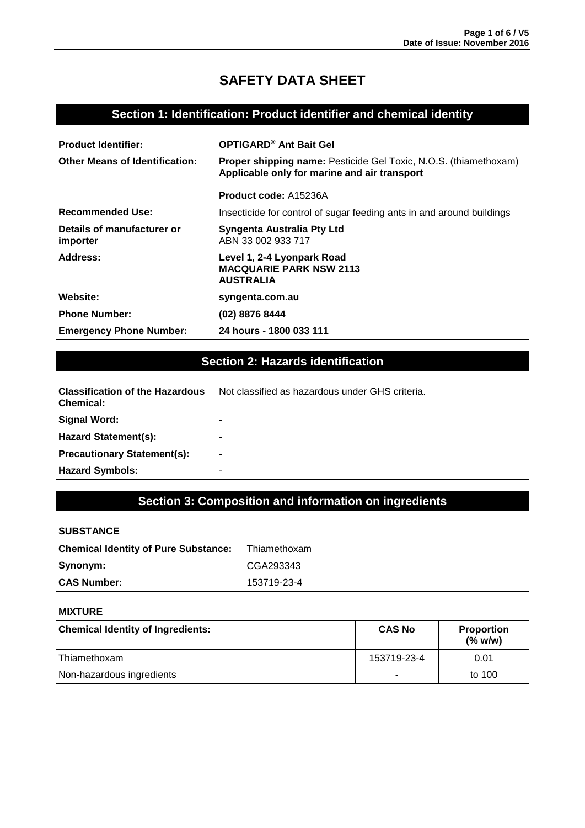# **SAFETY DATA SHEET**

### **Section 1: Identification: Product identifier and chemical identity**

| <b>Product Identifier:</b>             | <b>OPTIGARD® Ant Bait Gel</b>                                                                                           |  |  |
|----------------------------------------|-------------------------------------------------------------------------------------------------------------------------|--|--|
| <b>Other Means of Identification:</b>  | <b>Proper shipping name:</b> Pesticide Gel Toxic, N.O.S. (thiamethoxam)<br>Applicable only for marine and air transport |  |  |
|                                        | <b>Product code: A15236A</b>                                                                                            |  |  |
| <b>Recommended Use:</b>                | Insecticide for control of sugar feeding ants in and around buildings                                                   |  |  |
| Details of manufacturer or<br>importer | Syngenta Australia Pty Ltd<br>ABN 33 002 933 717                                                                        |  |  |
| Address:                               | Level 1, 2-4 Lyonpark Road<br><b>MACQUARIE PARK NSW 2113</b><br><b>AUSTRALIA</b>                                        |  |  |
| Website:                               | syngenta.com.au                                                                                                         |  |  |
| <b>Phone Number:</b>                   | (02) 8876 8444                                                                                                          |  |  |
| <b>Emergency Phone Number:</b>         | 24 hours - 1800 033 111                                                                                                 |  |  |

## **Section 2: Hazards identification**

| <b>Classification of the Hazardous</b><br><b>Chemical:</b> | Not classified as hazardous under GHS criteria. |  |
|------------------------------------------------------------|-------------------------------------------------|--|
| Signal Word:                                               | -                                               |  |
| <b>Hazard Statement(s):</b>                                |                                                 |  |
| <b>Precautionary Statement(s):</b>                         | -                                               |  |
| <b>Hazard Symbols:</b>                                     | -                                               |  |

# **Section 3: Composition and information on ingredients**

| <b>SUBSTANCE</b>                            |              |
|---------------------------------------------|--------------|
| <b>Chemical Identity of Pure Substance:</b> | Thiamethoxam |
| Synonym:                                    | CGA293343    |
| <b>CAS Number:</b>                          | 153719-23-4  |

| <b>IMIXTURE</b>                                                                    |             |        |  |
|------------------------------------------------------------------------------------|-------------|--------|--|
| <b>Chemical Identity of Ingredients:</b><br><b>CAS No</b><br>Proportion<br>(% w/w) |             |        |  |
| l Thiamethoxam                                                                     | 153719-23-4 | 0.01   |  |
| Non-hazardous ingredients                                                          |             | to 100 |  |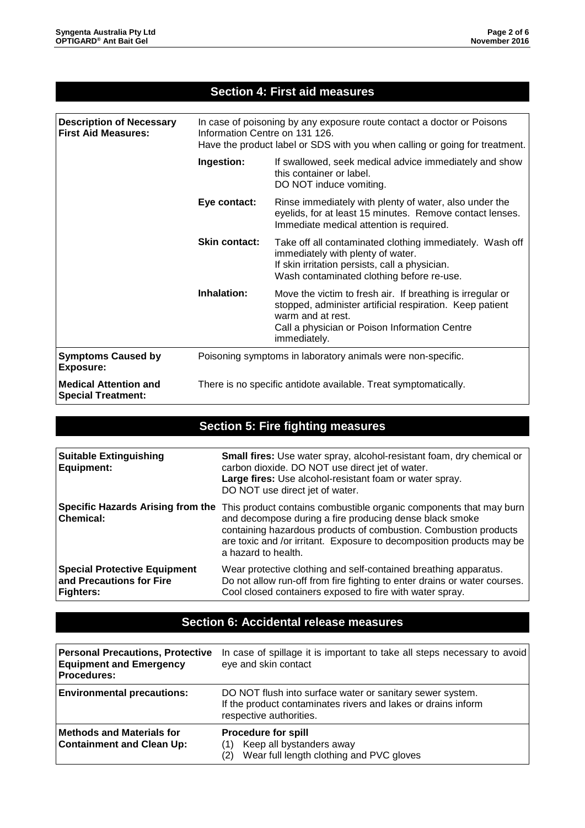#### **Section 4: First aid measures**

| <b>Description of Necessary</b><br><b>First Aid Measures:</b> | In case of poisoning by any exposure route contact a doctor or Poisons<br>Information Centre on 131 126.<br>Have the product label or SDS with you when calling or going for treatment.                              |                                                                                                                                                                                                              |  |
|---------------------------------------------------------------|----------------------------------------------------------------------------------------------------------------------------------------------------------------------------------------------------------------------|--------------------------------------------------------------------------------------------------------------------------------------------------------------------------------------------------------------|--|
|                                                               | Ingestion:<br>If swallowed, seek medical advice immediately and show<br>this container or label.<br>DO NOT induce vomiting.                                                                                          |                                                                                                                                                                                                              |  |
|                                                               | Eye contact:<br>Rinse immediately with plenty of water, also under the<br>eyelids, for at least 15 minutes. Remove contact lenses.<br>Immediate medical attention is required.                                       |                                                                                                                                                                                                              |  |
|                                                               | <b>Skin contact:</b><br>Take off all contaminated clothing immediately. Wash off<br>immediately with plenty of water.<br>If skin irritation persists, call a physician.<br>Wash contaminated clothing before re-use. |                                                                                                                                                                                                              |  |
|                                                               | Inhalation:                                                                                                                                                                                                          | Move the victim to fresh air. If breathing is irregular or<br>stopped, administer artificial respiration. Keep patient<br>warm and at rest.<br>Call a physician or Poison Information Centre<br>immediately. |  |
| <b>Symptoms Caused by</b><br><b>Exposure:</b>                 | Poisoning symptoms in laboratory animals were non-specific.                                                                                                                                                          |                                                                                                                                                                                                              |  |
| <b>Medical Attention and</b><br><b>Special Treatment:</b>     | There is no specific antidote available. Treat symptomatically.                                                                                                                                                      |                                                                                                                                                                                                              |  |

# **Section 5: Fire fighting measures**

| <b>Suitable Extinguishing</b><br><b>Equipment:</b>                           | <b>Small fires:</b> Use water spray, alcohol-resistant foam, dry chemical or<br>carbon dioxide. DO NOT use direct jet of water.<br>Large fires: Use alcohol-resistant foam or water spray.<br>DO NOT use direct jet of water.                                                                                                       |
|------------------------------------------------------------------------------|-------------------------------------------------------------------------------------------------------------------------------------------------------------------------------------------------------------------------------------------------------------------------------------------------------------------------------------|
| <b>Chemical:</b>                                                             | Specific Hazards Arising from the This product contains combustible organic components that may burn<br>and decompose during a fire producing dense black smoke<br>containing hazardous products of combustion. Combustion products<br>are toxic and /or irritant. Exposure to decomposition products may be<br>a hazard to health. |
| <b>Special Protective Equipment</b><br>and Precautions for Fire<br>Fighters: | Wear protective clothing and self-contained breathing apparatus.<br>Do not allow run-off from fire fighting to enter drains or water courses.<br>Cool closed containers exposed to fire with water spray.                                                                                                                           |

### **Section 6: Accidental release measures**

| <b>Personal Precautions, Protective</b><br><b>Equipment and Emergency</b><br><b>Procedures:</b> | In case of spillage it is important to take all steps necessary to avoid<br>eye and skin contact                                                      |
|-------------------------------------------------------------------------------------------------|-------------------------------------------------------------------------------------------------------------------------------------------------------|
| <b>Environmental precautions:</b>                                                               | DO NOT flush into surface water or sanitary sewer system.<br>If the product contaminates rivers and lakes or drains inform<br>respective authorities. |
| <b>Methods and Materials for</b><br><b>Containment and Clean Up:</b>                            | <b>Procedure for spill</b><br>Keep all bystanders away<br>Wear full length clothing and PVC gloves<br>(2)                                             |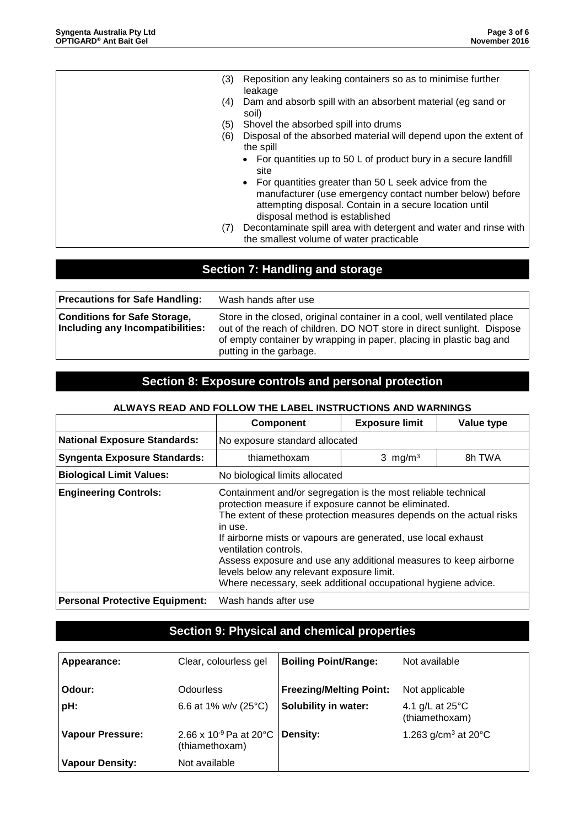| (3) | Reposition any leaking containers so as to minimise further<br>leakage                                                                                                                                           |
|-----|------------------------------------------------------------------------------------------------------------------------------------------------------------------------------------------------------------------|
| (4) | Dam and absorb spill with an absorbent material (eg sand or<br>soil)                                                                                                                                             |
| (5) | Shovel the absorbed spill into drums                                                                                                                                                                             |
| (6) | Disposal of the absorbed material will depend upon the extent of<br>the spill                                                                                                                                    |
|     | For quantities up to 50 L of product bury in a secure landfill<br>site                                                                                                                                           |
|     | • For quantities greater than 50 L seek advice from the<br>manufacturer (use emergency contact number below) before<br>attempting disposal. Contain in a secure location until<br>disposal method is established |
| (7) | Decontaminate spill area with detergent and water and rinse with<br>the smallest volume of water practicable                                                                                                     |

# **Section 7: Handling and storage**

| <b>Precautions for Safe Handling:</b>                                   | Wash hands after use                                                                                                                                                                                                                                 |
|-------------------------------------------------------------------------|------------------------------------------------------------------------------------------------------------------------------------------------------------------------------------------------------------------------------------------------------|
| <b>Conditions for Safe Storage,</b><br>Including any Incompatibilities: | Store in the closed, original container in a cool, well ventilated place<br>out of the reach of children. DO NOT store in direct sunlight. Dispose<br>of empty container by wrapping in paper, placing in plastic bag and<br>putting in the garbage. |

## **Section 8: Exposure controls and personal protection**

| ALWATO NEAD AND FOLLOW THE LABEL INSTRUCTIONS AND WARNINGS |                                                                                                                                                                                                                                                                                                                                                                                                                                                                                     |                       |            |  |
|------------------------------------------------------------|-------------------------------------------------------------------------------------------------------------------------------------------------------------------------------------------------------------------------------------------------------------------------------------------------------------------------------------------------------------------------------------------------------------------------------------------------------------------------------------|-----------------------|------------|--|
|                                                            | <b>Component</b>                                                                                                                                                                                                                                                                                                                                                                                                                                                                    | <b>Exposure limit</b> | Value type |  |
| <b>National Exposure Standards:</b>                        | No exposure standard allocated                                                                                                                                                                                                                                                                                                                                                                                                                                                      |                       |            |  |
| <b>Syngenta Exposure Standards:</b>                        | 8h TWA<br>thiamethoxam<br>3 mg/m <sup>3</sup>                                                                                                                                                                                                                                                                                                                                                                                                                                       |                       |            |  |
| <b>Biological Limit Values:</b>                            | No biological limits allocated                                                                                                                                                                                                                                                                                                                                                                                                                                                      |                       |            |  |
| <b>Engineering Controls:</b>                               | Containment and/or segregation is the most reliable technical<br>protection measure if exposure cannot be eliminated.<br>The extent of these protection measures depends on the actual risks<br>in use.<br>If airborne mists or vapours are generated, use local exhaust<br>ventilation controls.<br>Assess exposure and use any additional measures to keep airborne<br>levels below any relevant exposure limit.<br>Where necessary, seek additional occupational hygiene advice. |                       |            |  |
| <b>Personal Protective Equipment:</b>                      | Wash hands after use                                                                                                                                                                                                                                                                                                                                                                                                                                                                |                       |            |  |

#### **ALWAYS READ AND FOLLOW THE LABEL INSTRUCTIONS AND WARNINGS**

# **Section 9: Physical and chemical properties**

| Appearance:             | Clear, colourless gel                              | <b>Boiling Point/Range:</b>    | Not available                               |
|-------------------------|----------------------------------------------------|--------------------------------|---------------------------------------------|
| Odour:                  | Odourless                                          | <b>Freezing/Melting Point:</b> | Not applicable                              |
| pH:                     | 6.6 at 1% w/v (25 $^{\circ}$ C)                    | Solubility in water:           | 4.1 g/L at $25^{\circ}$ C<br>(thiamethoxam) |
| <b>Vapour Pressure:</b> | $2.66 \times 10^{-9}$ Pa at 20°C<br>(thiamethoxam) | <b>Density:</b>                | 1.263 g/cm <sup>3</sup> at $20^{\circ}$ C   |
| <b>Vapour Density:</b>  | Not available                                      |                                |                                             |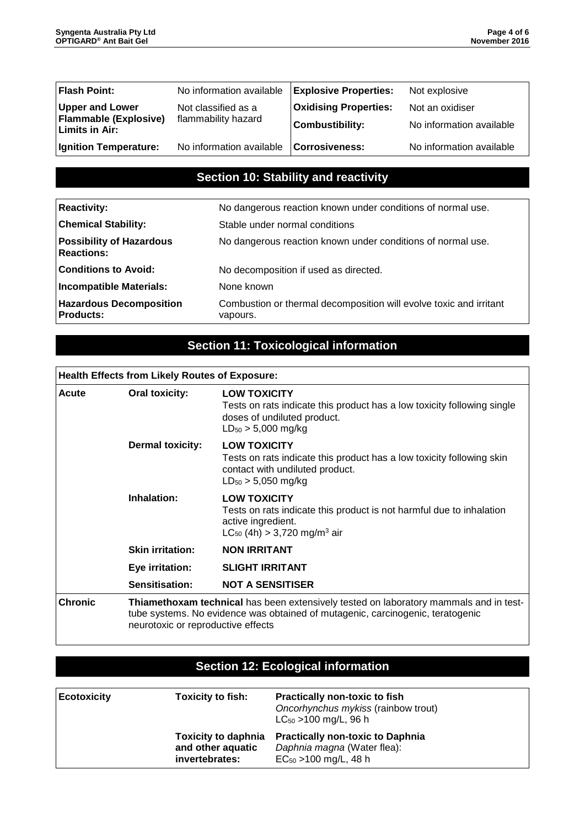| Flash Point:                            | No information available | <b>Explosive Properties:</b> | Not explosive            |
|-----------------------------------------|--------------------------|------------------------------|--------------------------|
| <b>Upper and Lower</b>                  | Not classified as a      | <b>Oxidising Properties:</b> | Not an oxidiser          |
| Flammable (Explosive)<br>Limits in Air: | flammability hazard      | <b>Combustibility:</b>       | No information available |
| Ignition Temperature:                   | No information available | Corrosiveness:               | No information available |

### **Section 10: Stability and reactivity**

| <b>Reactivity:</b>                                   | No dangerous reaction known under conditions of normal use.                    |  |  |
|------------------------------------------------------|--------------------------------------------------------------------------------|--|--|
| <b>Chemical Stability:</b>                           | Stable under normal conditions                                                 |  |  |
| <b>Possibility of Hazardous</b><br><b>Reactions:</b> | No dangerous reaction known under conditions of normal use.                    |  |  |
| <b>Conditions to Avoid:</b>                          | No decomposition if used as directed.                                          |  |  |
| Incompatible Materials:                              | None known                                                                     |  |  |
| <b>Hazardous Decomposition</b><br><b>Products:</b>   | Combustion or thermal decomposition will evolve toxic and irritant<br>vapours. |  |  |

# **Section 11: Toxicological information**

# **Health Effects from Likely Routes of Exposure:**

| Acute          | Oral toxicity:                     | <b>LOW TOXICITY</b><br>Tests on rats indicate this product has a low toxicity following single<br>doses of undiluted product.<br>$LD_{50} > 5,000$ mg/kg                |  |
|----------------|------------------------------------|-------------------------------------------------------------------------------------------------------------------------------------------------------------------------|--|
|                | <b>Dermal toxicity:</b>            | <b>LOW TOXICITY</b><br>Tests on rats indicate this product has a low toxicity following skin<br>contact with undiluted product.<br>$LD_{50} > 5,050$ mg/kg              |  |
|                | Inhalation:                        | <b>LOW TOXICITY</b><br>Tests on rats indicate this product is not harmful due to inhalation<br>active ingredient.<br>$LC_{50}$ (4h) > 3,720 mg/m <sup>3</sup> air       |  |
|                | <b>Skin irritation:</b>            | <b>NON IRRITANT</b>                                                                                                                                                     |  |
|                | Eye irritation:                    | <b>SLIGHT IRRITANT</b>                                                                                                                                                  |  |
|                | Sensitisation:                     | <b>NOT A SENSITISER</b>                                                                                                                                                 |  |
| <b>Chronic</b> | neurotoxic or reproductive effects | Thiamethoxam technical has been extensively tested on laboratory mammals and in test-<br>tube systems. No evidence was obtained of mutagenic, carcinogenic, teratogenic |  |

# **Section 12: Ecological information**

| <b>Ecotoxicity</b> | <b>Toxicity to fish:</b>                                          | <b>Practically non-toxic to fish</b><br>Oncorhynchus mykiss (rainbow trout)<br>$LC_{50}$ > 100 mg/L, 96 h |
|--------------------|-------------------------------------------------------------------|-----------------------------------------------------------------------------------------------------------|
|                    | <b>Toxicity to daphnia</b><br>and other aquatic<br>invertebrates: | <b>Practically non-toxic to Daphnia</b><br>Daphnia magna (Water flea):<br>$EC_{50} > 100$ mg/L, 48 h      |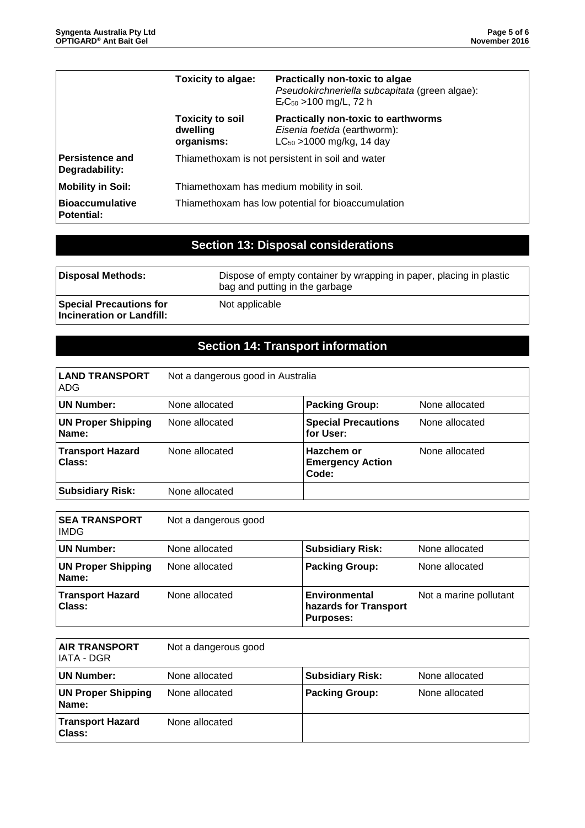|                                          | <b>Toxicity to algae:</b>                          | Practically non-toxic to algae<br>Pseudokirchneriella subcapitata (green algae):<br>$ErC50 > 100$ mg/L, 72 h |
|------------------------------------------|----------------------------------------------------|--------------------------------------------------------------------------------------------------------------|
|                                          | <b>Toxicity to soil</b><br>dwelling<br>organisms:  | <b>Practically non-toxic to earthworms</b><br>Eisenia foetida (earthworm):<br>$LC_{50}$ > 1000 mg/kg, 14 day |
| <b>Persistence and</b><br>Degradability: | Thiamethoxam is not persistent in soil and water   |                                                                                                              |
| <b>Mobility in Soil:</b>                 | Thiamethoxam has medium mobility in soil.          |                                                                                                              |
| l Bioaccumulative<br>  Potential:        | Thiamethoxam has low potential for bioaccumulation |                                                                                                              |

# **Section 13: Disposal considerations**

| Disposal Methods:                                           | Dispose of empty container by wrapping in paper, placing in plastic<br>bag and putting in the garbage |  |
|-------------------------------------------------------------|-------------------------------------------------------------------------------------------------------|--|
| <b>Special Precautions for</b><br>Incineration or Landfill: | Not applicable                                                                                        |  |

# **Section 14: Transport information**

| <b>LAND TRANSPORT</b><br>ADG.      | Not a dangerous good in Australia |                                                |                |
|------------------------------------|-----------------------------------|------------------------------------------------|----------------|
| <b>UN Number:</b>                  | None allocated                    | <b>Packing Group:</b>                          | None allocated |
| <b>UN Proper Shipping</b><br>Name: | None allocated                    | <b>Special Precautions</b><br>for User:        | None allocated |
| <b>Transport Hazard</b><br>Class:  | None allocated                    | Hazchem or<br><b>Emergency Action</b><br>Code: | None allocated |
| <b>Subsidiary Risk:</b>            | None allocated                    |                                                |                |

| <b>SEA TRANSPORT</b><br><b>IMDG</b> | Not a dangerous good |                                                                   |                        |
|-------------------------------------|----------------------|-------------------------------------------------------------------|------------------------|
| <b>UN Number:</b>                   | None allocated       | <b>Subsidiary Risk:</b>                                           | None allocated         |
| <b>UN Proper Shipping</b><br>Name:  | None allocated       | <b>Packing Group:</b>                                             | None allocated         |
| <b>Transport Hazard</b><br>Class:   | None allocated       | <b>Environmental</b><br>hazards for Transport<br><b>Purposes:</b> | Not a marine pollutant |

| <b>AIR TRANSPORT</b><br>IATA - DGR | Not a dangerous good |                         |                |
|------------------------------------|----------------------|-------------------------|----------------|
| UN Number:                         | None allocated       | <b>Subsidiary Risk:</b> | None allocated |
| <b>UN Proper Shipping</b><br>Name: | None allocated       | <b>Packing Group:</b>   | None allocated |
| <b>Transport Hazard</b><br>Class:  | None allocated       |                         |                |